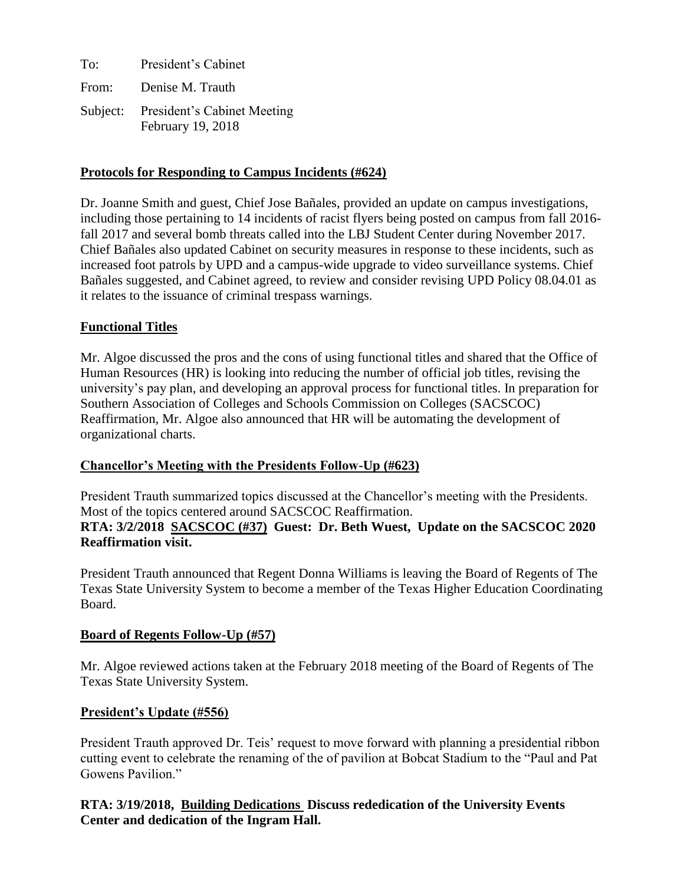To: President's Cabinet From: Denise M. Trauth Subject: President's Cabinet Meeting February 19, 2018

#### **Protocols for Responding to Campus Incidents (#624)**

Dr. Joanne Smith and guest, Chief Jose Bañales, provided an update on campus investigations, including those pertaining to 14 incidents of racist flyers being posted on campus from fall 2016 fall 2017 and several bomb threats called into the LBJ Student Center during November 2017. Chief Bañales also updated Cabinet on security measures in response to these incidents, such as increased foot patrols by UPD and a campus-wide upgrade to video surveillance systems. Chief Bañales suggested, and Cabinet agreed, to review and consider revising UPD Policy 08.04.01 as it relates to the issuance of criminal trespass warnings.

## **Functional Titles**

Mr. Algoe discussed the pros and the cons of using functional titles and shared that the Office of Human Resources (HR) is looking into reducing the number of official job titles, revising the university's pay plan, and developing an approval process for functional titles. In preparation for Southern Association of Colleges and Schools Commission on Colleges (SACSCOC) Reaffirmation, Mr. Algoe also announced that HR will be automating the development of organizational charts.

## **Chancellor's Meeting with the Presidents Follow-Up (#623)**

President Trauth summarized topics discussed at the Chancellor's meeting with the Presidents. Most of the topics centered around SACSCOC Reaffirmation. **RTA: 3/2/2018 SACSCOC (#37) Guest: Dr. Beth Wuest, Update on the SACSCOC 2020 Reaffirmation visit.** 

President Trauth announced that Regent Donna Williams is leaving the Board of Regents of The Texas State University System to become a member of the Texas Higher Education Coordinating Board.

#### **Board of Regents Follow-Up (#57)**

Mr. Algoe reviewed actions taken at the February 2018 meeting of the Board of Regents of The Texas State University System.

#### **President's Update (#556)**

President Trauth approved Dr. Teis' request to move forward with planning a presidential ribbon cutting event to celebrate the renaming of the of pavilion at Bobcat Stadium to the "Paul and Pat Gowens Pavilion."

# **RTA: 3/19/2018, Building Dedications Discuss rededication of the University Events Center and dedication of the Ingram Hall.**